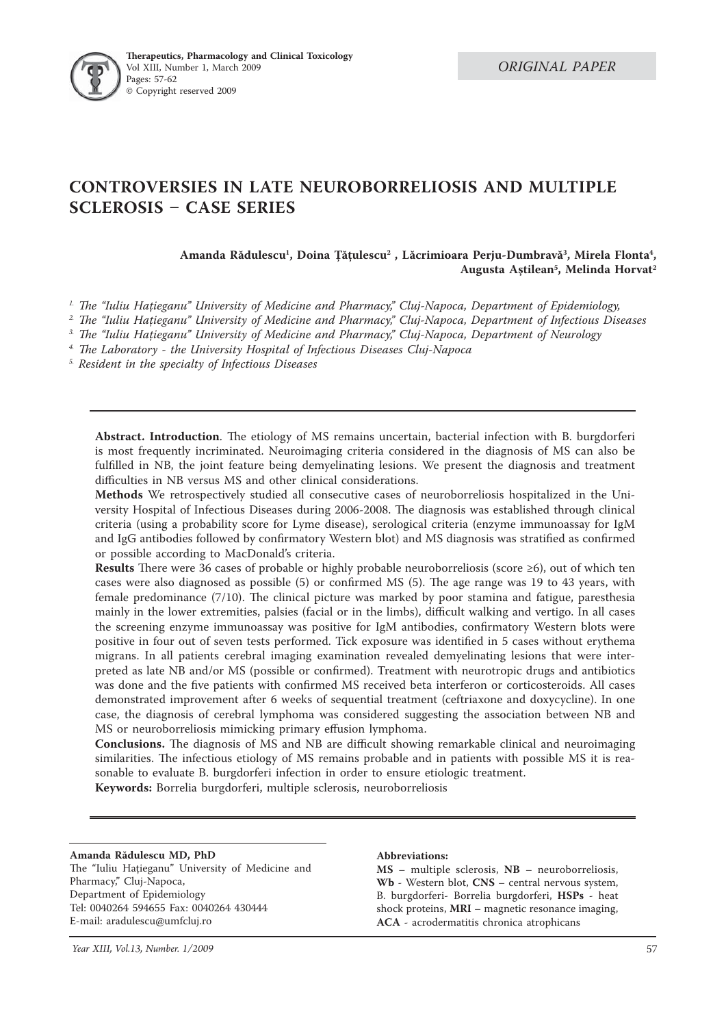

# **CONTROVERSIES IN LATE NEUROBORRELIOSIS AND MULTIPLE SCLEROSIS CASE SERIES**

Amanda Rădulescu<sup>1</sup>, Doina Țățulescu<sup>2</sup> , Lăcrimioara Perju-Dumbravă<sup>3</sup>, Mirela Flonta<sup>4</sup>, **Augusta Aştilean5 , Melinda Horvat2**

<sup>1.</sup> The "Iuliu Hatieganu" University of Medicine and Pharmacy," Cluj-Napoca, Department of Epidemiology,

<sup>2</sup>. The "Iuliu Hatieganu" University of Medicine and Pharmacy," Cluj-Napoca, Department of Infectious Diseases

<sup>3.</sup> The "Iuliu Hatieganu" University of Medicine and Pharmacy," Cluj-Napoca, Department of Neurology

<sup>4.</sup> The Laboratory - the University Hospital of Infectious Diseases Cluj-Napoca

*5. Resident in the specialty of Infectious Diseases* 

Abstract. Introduction. The etiology of MS remains uncertain, bacterial infection with B. burgdorferi is most frequently incriminated. Neuroimaging criteria considered in the diagnosis of MS can also be fulfilled in NB, the joint feature being demyelinating lesions. We present the diagnosis and treatment difficulties in NB versus MS and other clinical considerations.

**Methods** We retrospectively studied all consecutive cases of neuroborreliosis hospitalized in the University Hospital of Infectious Diseases during 2006-2008. The diagnosis was established through clinical criteria (using a probability score for Lyme disease), serological criteria (enzyme immunoassay for IgM and IgG antibodies followed by confirmatory Western blot) and MS diagnosis was stratified as confirmed or possible according to MacDonald's criteria.

**Results** There were 36 cases of probable or highly probable neuroborreliosis (score  $\geq 6$ ), out of which ten cases were also diagnosed as possible  $(5)$  or confirmed MS  $(5)$ . The age range was 19 to 43 years, with female predominance  $(7/10)$ . The clinical picture was marked by poor stamina and fatigue, paresthesia mainly in the lower extremities, palsies (facial or in the limbs), difficult walking and vertigo. In all cases the screening enzyme immunoassay was positive for IgM antibodies, confirmatory Western blots were positive in four out of seven tests performed. Tick exposure was identified in 5 cases without erythema migrans. In all patients cerebral imaging examination revealed demyelinating lesions that were interpreted as late NB and/or MS (possible or confirmed). Treatment with neurotropic drugs and antibiotics was done and the five patients with confirmed MS received beta interferon or corticosteroids. All cases demonstrated improvement after 6 weeks of sequential treatment (ceftriaxone and doxycycline). In one case, the diagnosis of cerebral lymphoma was considered suggesting the association between NB and MS or neuroborreliosis mimicking primary effusion lymphoma.

**Conclusions.** The diagnosis of MS and NB are difficult showing remarkable clinical and neuroimaging similarities. The infectious etiology of MS remains probable and in patients with possible MS it is reasonable to evaluate B. burgdorferi infection in order to ensure etiologic treatment.

**Keywords:** Borrelia burgdorferi, multiple sclerosis, neuroborreliosis

### **Amanda Rădulescu MD, PhD**

The "Iuliu Hațieganu" University of Medicine and Pharmacy," Cluj-Napoca, Department of Epidemiology Tel: 0040264 594655 Fax: 0040264 430444 E-mail: aradulescu@umfcluj.ro

### **Abbreviations:**

**MS** – multiple sclerosis, **NB** – neuroborreliosis, **Wb** - Western blot, **CNS** – central nervous system, B. burgdorferi- Borrelia burgdorferi, **HSPs** - heat shock proteins, **MRI** – magnetic resonance imaging, **ACA** - acrodermatitis chronica atrophicans

 *Year XIII, Vol.13, Number. 1/2009* 57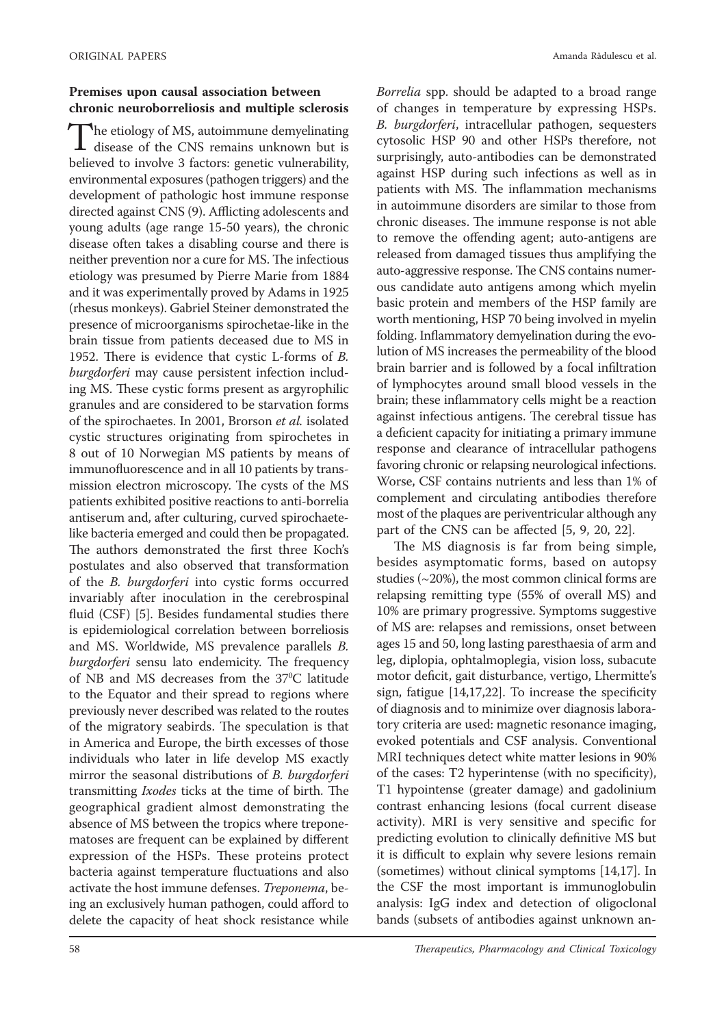# **Premises upon causal association between chronic neuroborreliosis and multiple sclerosis**

The etiology of MS, autoimmune demyelinating The etiology of MS, autoimmune demyelinating<br>disease of the CNS remains unknown but is believed to involve 3 factors: genetic vulnerability, environmental exposures (pathogen triggers) and the development of pathologic host immune response directed against CNS (9). Afflicting adolescents and young adults (age range 15-50 years), the chronic disease often takes a disabling course and there is neither prevention nor a cure for MS. The infectious etiology was presumed by Pierre Marie from 1884 and it was experimentally proved by Adams in 1925 (rhesus monkeys). Gabriel Steiner demonstrated the presence of microorganisms spirochetae-like in the brain tissue from patients deceased due to MS in 1952. There is evidence that cystic L-forms of *B*. *burgdorferi* may cause persistent infection including MS. These cystic forms present as argyrophilic granules and are considered to be starvation forms of the spirochaetes. In 2001, Brorson *et al.* isolated cystic structures originating from spirochetes in 8 out of 10 Norwegian MS patients by means of immunofluorescence and in all 10 patients by transmission electron microscopy. The cysts of the MS patients exhibited positive reactions to anti-borrelia antiserum and, after culturing, curved spirochaetelike bacteria emerged and could then be propagated. The authors demonstrated the first three Koch's postulates and also observed that transformation of the *B. burgdorferi* into cystic forms occurred invariably after inoculation in the cerebrospinal fluid (CSF) [5]. Besides fundamental studies there is epidemiological correlation between borreliosis and MS. Worldwide, MS prevalence parallels *B. burgdorferi* sensu lato endemicity. The frequency of NB and MS decreases from the 37°C latitude to the Equator and their spread to regions where previously never described was related to the routes of the migratory seabirds. The speculation is that in America and Europe, the birth excesses of those individuals who later in life develop MS exactly mirror the seasonal distributions of *B. burgdorferi* transmitting *Ixodes* ticks at the time of birth. The geographical gradient almost demonstrating the absence of MS between the tropics where treponematoses are frequent can be explained by different expression of the HSPs. These proteins protect bacteria against temperature fluctuations and also activate the host immune defenses. *Treponema*, being an exclusively human pathogen, could afford to delete the capacity of heat shock resistance while

*Borrelia* spp. should be adapted to a broad range of changes in temperature by expressing HSPs. *B. burgdorferi*, intracellular pathogen, sequesters cytosolic HSP 90 and other HSPs therefore, not surprisingly, auto-antibodies can be demonstrated against HSP during such infections as well as in patients with MS. The inflammation mechanisms in autoimmune disorders are similar to those from chronic diseases. The immune response is not able to remove the offending agent; auto-antigens are released from damaged tissues thus amplifying the auto-aggressive response. The CNS contains numerous candidate auto antigens among which myelin basic protein and members of the HSP family are worth mentioning, HSP 70 being involved in myelin folding. Inflammatory demyelination during the evolution of MS increases the permeability of the blood brain barrier and is followed by a focal infiltration of lymphocytes around small blood vessels in the brain; these inflammatory cells might be a reaction against infectious antigens. The cerebral tissue has a deficient capacity for initiating a primary immune response and clearance of intracellular pathogens favoring chronic or relapsing neurological infections. Worse, CSF contains nutrients and less than 1% of complement and circulating antibodies therefore most of the plaques are periventricular although any part of the CNS can be affected  $[5, 9, 20, 22]$ .

The MS diagnosis is far from being simple, besides asymptomatic forms, based on autopsy studies  $(-20\%)$ , the most common clinical forms are relapsing remitting type (55% of overall MS) and 10% are primary progressive. Symptoms suggestive of MS are: relapses and remissions, onset between ages 15 and 50, long lasting paresthaesia of arm and leg, diplopia, ophtalmoplegia, vision loss, subacute motor deficit, gait disturbance, vertigo, Lhermitte's sign, fatigue  $[14,17,22]$ . To increase the specificity of diagnosis and to minimize over diagnosis laboratory criteria are used: magnetic resonance imaging, evoked potentials and CSF analysis. Conventional MRI techniques detect white matter lesions in 90% of the cases: T2 hyperintense (with no specificity), T1 hypointense (greater damage) and gadolinium contrast enhancing lesions (focal current disease activity). MRI is very sensitive and specific for predicting evolution to clinically definitive MS but it is difficult to explain why severe lesions remain (sometimes) without clinical symptoms [14,17]. In the CSF the most important is immunoglobulin analysis: IgG index and detection of oligoclonal bands (subsets of antibodies against unknown an-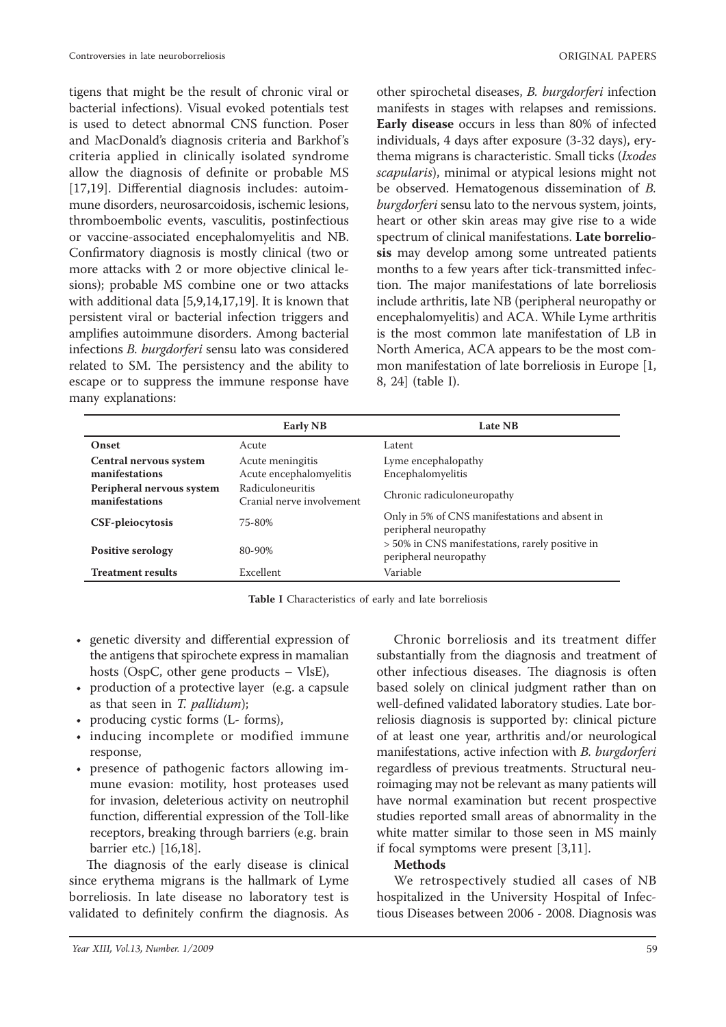tigens that might be the result of chronic viral or bacterial infections). Visual evoked potentials test is used to detect abnormal CNS function. Poser and MacDonald's diagnosis criteria and Barkhof's criteria applied in clinically isolated syndrome allow the diagnosis of definite or probable MS [17,19]. Differential diagnosis includes: autoimmune disorders, neurosarcoidosis, ischemic lesions, thromboembolic events, vasculitis, postinfectious or vaccine-associated encephalomyelitis and NB. Confirmatory diagnosis is mostly clinical (two or more attacks with 2 or more objective clinical lesions); probable MS combine one or two attacks with additional data [5,9,14,17,19]. It is known that persistent viral or bacterial infection triggers and amplifies autoimmune disorders. Among bacterial infections *B. burgdorferi* sensu lato was considered related to SM. The persistency and the ability to escape or to suppress the immune response have many explanations:

other spirochetal diseases, *B. burgdorferi* infection manifests in stages with relapses and remissions. **Early disease** occurs in less than 80% of infected individuals, 4 days after exposure (3-32 days), erythema migrans is characteristic. Small ticks (*Ixodes scapularis*), minimal or atypical lesions might not be observed. Hematogenous dissemination of *B. burgdorferi* sensu lato to the nervous system, joints, heart or other skin areas may give rise to a wide spectrum of clinical manifestations. **Late borreliosis** may develop among some untreated patients months to a few years after tick-transmitted infection. The major manifestations of late borreliosis include arthritis, late NB (peripheral neuropathy or encephalomyelitis) and ACA. While Lyme arthritis is the most common late manifestation of LB in North America, ACA appears to be the most common manifestation of late borreliosis in Europe [1, 8, 24] (table I).

|                                             | <b>Early NB</b>                               | <b>Late NB</b>                                                           |
|---------------------------------------------|-----------------------------------------------|--------------------------------------------------------------------------|
| Onset                                       | Acute                                         | Latent                                                                   |
| Central nervous system<br>manifestations    | Acute meningitis<br>Acute encephalomyelitis   | Lyme encephalopathy<br>Encephalomyelitis                                 |
| Peripheral nervous system<br>manifestations | Radiculoneuritis<br>Cranial nerve involvement | Chronic radiculoneuropathy                                               |
| <b>CSF-pleiocytosis</b>                     | 75-80%                                        | Only in 5% of CNS manifestations and absent in<br>peripheral neuropathy  |
| <b>Positive serology</b>                    | 80-90%                                        | > 50% in CNS manifestations, rarely positive in<br>peripheral neuropathy |
| <b>Treatment results</b>                    | Excellent                                     | Variable                                                                 |

**Table I** Characteristics of early and late borreliosis

- genetic diversity and differential expression of the antigens that spirochete express in mamalian hosts (OspC, other gene products – VlsE),
- production of a protective layer (e.g. a capsule as that seen in *T. pallidum*);
- producing cystic forms (L- forms),
- inducing incomplete or modified immune response,
- presence of pathogenic factors allowing immune evasion: motility, host proteases used for invasion, deleterious activity on neutrophil function, differential expression of the Toll-like receptors, breaking through barriers (e.g. brain barrier etc.) [16,18].

The diagnosis of the early disease is clinical since erythema migrans is the hallmark of Lyme borreliosis. In late disease no laboratory test is validated to definitely confirm the diagnosis. As

Chronic borreliosis and its treatment differ substantially from the diagnosis and treatment of other infectious diseases. The diagnosis is often based solely on clinical judgment rather than on well-defined validated laboratory studies. Late borreliosis diagnosis is supported by: clinical picture of at least one year, arthritis and/or neurological manifestations, active infection with *B. burgdorferi* regardless of previous treatments. Structural neuroimaging may not be relevant as many patients will have normal examination but recent prospective studies reported small areas of abnormality in the white matter similar to those seen in MS mainly if focal symptoms were present [3,11].

# **Methods**

We retrospectively studied all cases of NB hospitalized in the University Hospital of Infectious Diseases between 2006 - 2008. Diagnosis was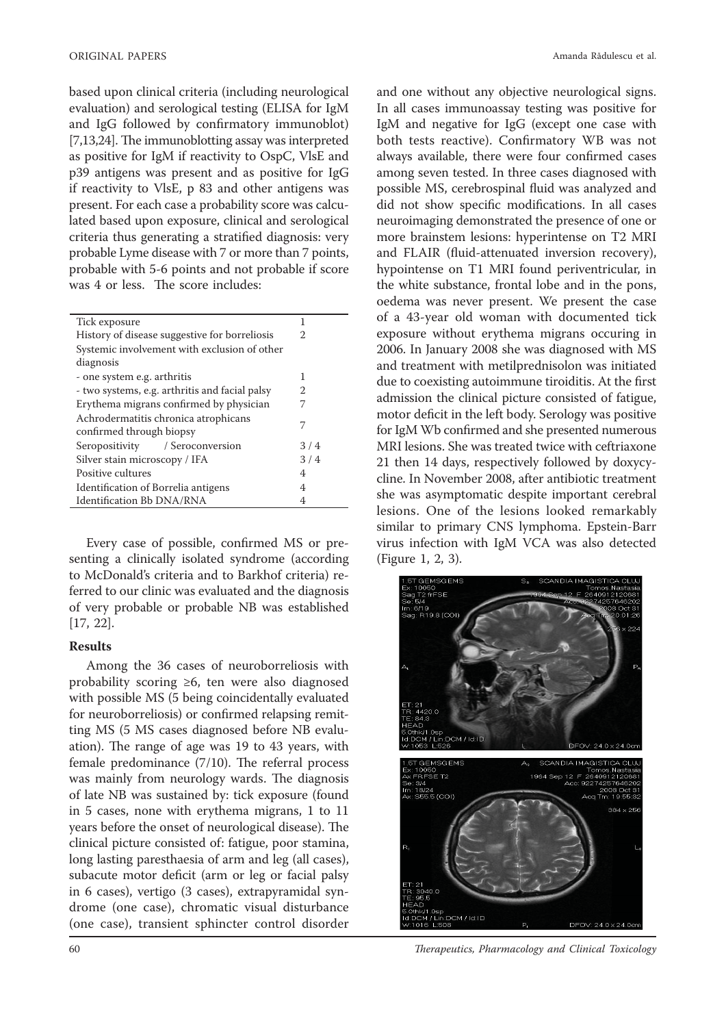based upon clinical criteria (including neurological evaluation) and serological testing (ELISA for IgM and IgG followed by confirmatory immunoblot)  $[7,13,24]$ . The immunoblotting assay was interpreted as positive for IgM if reactivity to OspC, VlsE and p39 antigens was present and as positive for IgG if reactivity to VlsE, p 83 and other antigens was present. For each case a probability score was calculated based upon exposure, clinical and serological criteria thus generating a stratified diagnosis: very probable Lyme disease with 7 or more than 7 points, probable with 5-6 points and not probable if score was 4 or less. The score includes:

| Tick exposure                                  | 1              |  |  |
|------------------------------------------------|----------------|--|--|
| History of disease suggestive for borreliosis  | $\mathfrak{D}$ |  |  |
| Systemic involvement with exclusion of other   |                |  |  |
| diagnosis                                      |                |  |  |
| - one system e.g. arthritis                    | 1              |  |  |
| - two systems, e.g. arthritis and facial palsy | 2              |  |  |
| Erythema migrans confirmed by physician        |                |  |  |
| Achrodermatitis chronica atrophicans           | 7              |  |  |
| confirmed through biopsy                       |                |  |  |
| Seropositivity / Seroconversion                | 3/4            |  |  |
| Silver stain microscopy / IFA                  | 3/4            |  |  |
| Positive cultures                              | 4              |  |  |
| Identification of Borrelia antigens            | 4              |  |  |
| Identification Bb DNA/RNA                      | 4              |  |  |
|                                                |                |  |  |

Every case of possible, confirmed MS or presenting a clinically isolated syndrome (according to McDonald's criteria and to Barkhof criteria) referred to our clinic was evaluated and the diagnosis of very probable or probable NB was established [17, 22].

## **Results**

Among the 36 cases of neuroborreliosis with probability scoring ≥6, ten were also diagnosed with possible MS (5 being coincidentally evaluated for neuroborreliosis) or confirmed relapsing remitting MS (5 MS cases diagnosed before NB evaluation). The range of age was 19 to 43 years, with female predominance  $(7/10)$ . The referral process was mainly from neurology wards. The diagnosis of late NB was sustained by: tick exposure (found in 5 cases, none with erythema migrans, 1 to 11 years before the onset of neurological disease). The clinical picture consisted of: fatigue, poor stamina, long lasting paresthaesia of arm and leg (all cases), subacute motor deficit (arm or leg or facial palsy in 6 cases), vertigo (3 cases), extrapyramidal syndrome (one case), chromatic visual disturbance (one case), transient sphincter control disorder

Amanda Rădulescu et al.

and one without any objective neurological signs. In all cases immunoassay testing was positive for IgM and negative for IgG (except one case with both tests reactive). Confirmatory WB was not always available, there were four confirmed cases among seven tested. In three cases diagnosed with possible MS, cerebrospinal fluid was analyzed and did not show specific modifications. In all cases neuroimaging demonstrated the presence of one or more brainstem lesions: hyperintense on T2 MRI and FLAIR (fluid-attenuated inversion recovery), hypointense on T1 MRI found periventricular, in the white substance, frontal lobe and in the pons, oedema was never present. We present the case of a 43-year old woman with documented tick exposure without erythema migrans occuring in 2006. In January 2008 she was diagnosed with MS and treatment with metilprednisolon was initiated due to coexisting autoimmune tiroiditis. At the first admission the clinical picture consisted of fatigue, motor deficit in the left body. Serology was positive for IgM Wb confirmed and she presented numerous MRI lesions. She was treated twice with ceftriaxone 21 then 14 days, respectively followed by doxycycline. In November 2008, after antibiotic treatment she was asymptomatic despite important cerebral lesions. One of the lesions looked remarkably similar to primary CNS lymphoma. Epstein-Barr virus infection with IgM VCA was also detected (Figure 1, 2, 3).



60 *Th erapeutics, Pharmacology and Clinical Toxicology*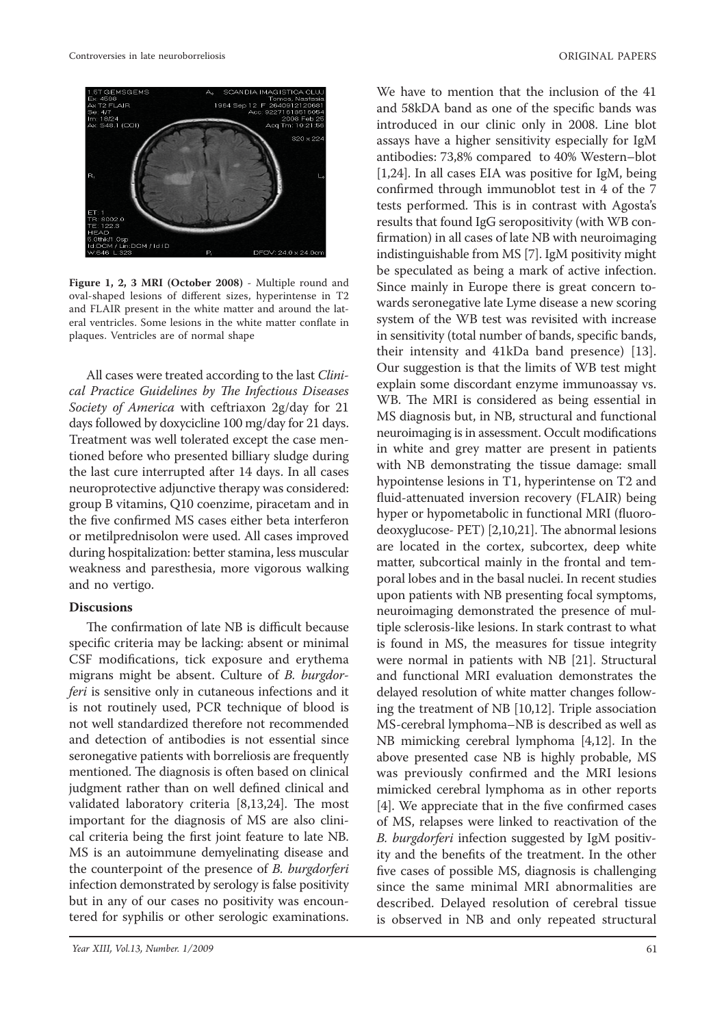

**Figure 1, 2, 3 MRI (October 2008)** - Multiple round and oval-shaped lesions of different sizes, hyperintense in T2 and FLAIR present in the white matter and around the lateral ventricles. Some lesions in the white matter conflate in plaques. Ventricles are of normal shape

All cases were treated according to the last *Clinical Practice Guidelines by The Infectious Diseases Society of America* with ceftriaxon 2g/day for 21 days followed by doxycicline 100 mg/day for 21 days. Treatment was well tolerated except the case mentioned before who presented billiary sludge during the last cure interrupted after 14 days. In all cases neuroprotective adjunctive therapy was considered: group B vitamins, Q10 coenzime, piracetam and in the five confirmed MS cases either beta interferon or metilprednisolon were used. All cases improved during hospitalization: better stamina, less muscular weakness and paresthesia, more vigorous walking and no vertigo.

## **Discusions**

The confirmation of late NB is difficult because specific criteria may be lacking: absent or minimal CSF modifications, tick exposure and erythema migrans might be absent. Culture of *B. burgdorferi* is sensitive only in cutaneous infections and it is not routinely used, PCR technique of blood is not well standardized therefore not recommended and detection of antibodies is not essential since seronegative patients with borreliosis are frequently mentioned. The diagnosis is often based on clinical judgment rather than on well defined clinical and validated laboratory criteria  $[8,13,24]$ . The most important for the diagnosis of MS are also clinical criteria being the first joint feature to late NB. MS is an autoimmune demyelinating disease and the counterpoint of the presence of *B. burgdorferi* infection demonstrated by serology is false positivity but in any of our cases no positivity was encountered for syphilis or other serologic examinations.

We have to mention that the inclusion of the 41 and 58kDA band as one of the specific bands was introduced in our clinic only in 2008. Line blot assays have a higher sensitivity especially for IgM antibodies: 73,8% compared to 40% Western–blot [1,24]. In all cases EIA was positive for IgM, being confirmed through immunoblot test in 4 of the 7 tests performed. This is in contrast with Agosta's results that found IgG seropositivity (with WB confirmation) in all cases of late NB with neuroimaging indistinguishable from MS [7]. IgM positivity might be speculated as being a mark of active infection. Since mainly in Europe there is great concern towards seronegative late Lyme disease a new scoring system of the WB test was revisited with increase in sensitivity (total number of bands, specific bands, their intensity and 41kDa band presence) [13]. Our suggestion is that the limits of WB test might explain some discordant enzyme immunoassay vs. WB. The MRI is considered as being essential in MS diagnosis but, in NB, structural and functional neuroimaging is in assessment. Occult modifications in white and grey matter are present in patients with NB demonstrating the tissue damage: small hypointense lesions in T1, hyperintense on T2 and fluid-attenuated inversion recovery (FLAIR) being hyper or hypometabolic in functional MRI (fluorodeoxyglucose- PET) [2,10,21]. The abnormal lesions are located in the cortex, subcortex, deep white matter, subcortical mainly in the frontal and temporal lobes and in the basal nuclei. In recent studies upon patients with NB presenting focal symptoms, neuroimaging demonstrated the presence of multiple sclerosis-like lesions. In stark contrast to what is found in MS, the measures for tissue integrity were normal in patients with NB [21]. Structural and functional MRI evaluation demonstrates the delayed resolution of white matter changes following the treatment of NB [10,12]. Triple association MS-cerebral lymphoma–NB is described as well as NB mimicking cerebral lymphoma [4,12]. In the above presented case NB is highly probable, MS was previously confirmed and the MRI lesions mimicked cerebral lymphoma as in other reports [4]. We appreciate that in the five confirmed cases of MS, relapses were linked to reactivation of the *B. burgdorferi* infection suggested by IgM positivity and the benefits of the treatment. In the other five cases of possible MS, diagnosis is challenging since the same minimal MRI abnormalities are described. Delayed resolution of cerebral tissue is observed in NB and only repeated structural